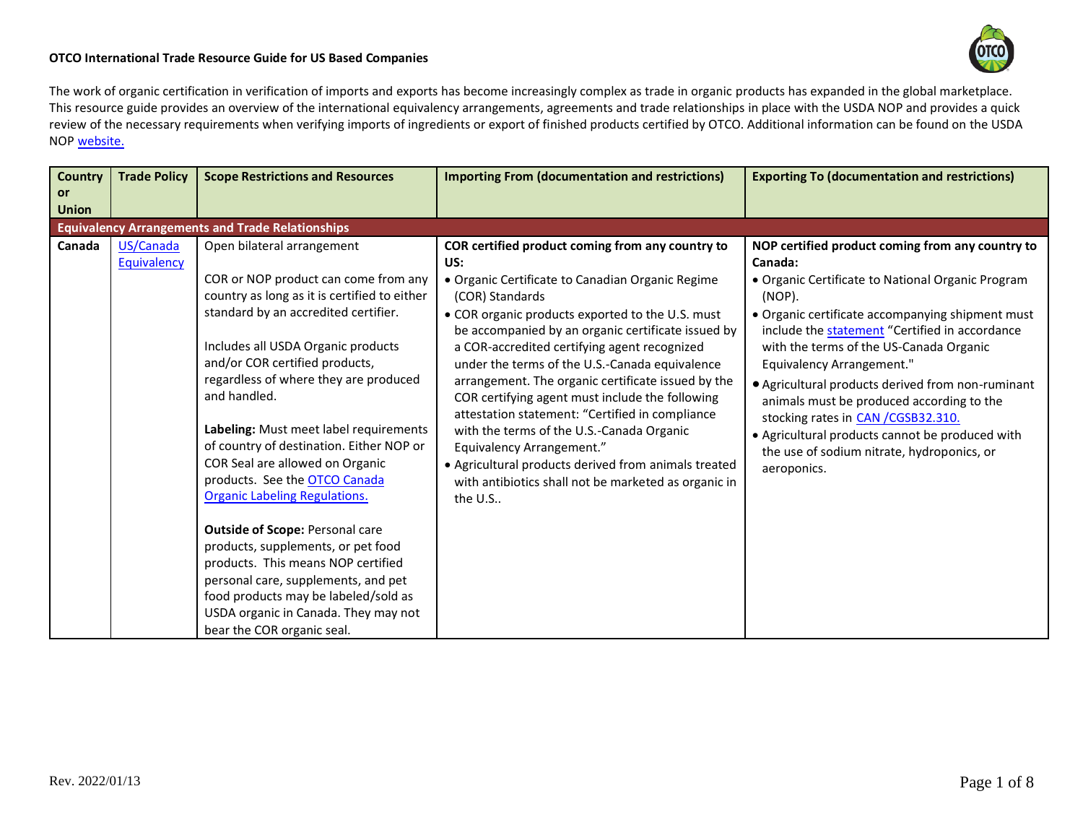

## **OTCO International Trade Resource Guide for US Based Companies**

The work of organic certification in verification of imports and exports has become increasingly complex as trade in organic products has expanded in the global marketplace. This resource guide provides an overview of the international equivalency arrangements, agreements and trade relationships in place with the USDA NOP and provides a quick review of the necessary requirements when verifying imports of ingredients or export of finished products certified by OTCO. Additional information can be found on the USDA NO[P website.](https://www.ams.usda.gov/services/organic-certification/international-trade)

| Country                   | <b>Trade Policy</b>      | <b>Scope Restrictions and Resources</b>                                                                                                                                                                                                                                                                                                                                                                                                                                                                                                                                                                                                                                                                                                                                         | <b>Importing From (documentation and restrictions)</b>                                                                                                                                                                                                                                                                                                                                                                                                                                                                                                                                                                                                                                                           | <b>Exporting To (documentation and restrictions)</b>                                                                                                                                                                                                                                                                                                                                                                                                                                                                                                              |
|---------------------------|--------------------------|---------------------------------------------------------------------------------------------------------------------------------------------------------------------------------------------------------------------------------------------------------------------------------------------------------------------------------------------------------------------------------------------------------------------------------------------------------------------------------------------------------------------------------------------------------------------------------------------------------------------------------------------------------------------------------------------------------------------------------------------------------------------------------|------------------------------------------------------------------------------------------------------------------------------------------------------------------------------------------------------------------------------------------------------------------------------------------------------------------------------------------------------------------------------------------------------------------------------------------------------------------------------------------------------------------------------------------------------------------------------------------------------------------------------------------------------------------------------------------------------------------|-------------------------------------------------------------------------------------------------------------------------------------------------------------------------------------------------------------------------------------------------------------------------------------------------------------------------------------------------------------------------------------------------------------------------------------------------------------------------------------------------------------------------------------------------------------------|
| <b>or</b><br><b>Union</b> |                          |                                                                                                                                                                                                                                                                                                                                                                                                                                                                                                                                                                                                                                                                                                                                                                                 |                                                                                                                                                                                                                                                                                                                                                                                                                                                                                                                                                                                                                                                                                                                  |                                                                                                                                                                                                                                                                                                                                                                                                                                                                                                                                                                   |
|                           |                          | <b>Equivalency Arrangements and Trade Relationships</b>                                                                                                                                                                                                                                                                                                                                                                                                                                                                                                                                                                                                                                                                                                                         |                                                                                                                                                                                                                                                                                                                                                                                                                                                                                                                                                                                                                                                                                                                  |                                                                                                                                                                                                                                                                                                                                                                                                                                                                                                                                                                   |
| Canada                    | US/Canada<br>Equivalency | Open bilateral arrangement<br>COR or NOP product can come from any<br>country as long as it is certified to either<br>standard by an accredited certifier.<br>Includes all USDA Organic products<br>and/or COR certified products,<br>regardless of where they are produced<br>and handled.<br>Labeling: Must meet label requirements<br>of country of destination. Either NOP or<br>COR Seal are allowed on Organic<br>products. See the <b>OTCO Canada</b><br><b>Organic Labeling Regulations.</b><br><b>Outside of Scope: Personal care</b><br>products, supplements, or pet food<br>products. This means NOP certified<br>personal care, supplements, and pet<br>food products may be labeled/sold as<br>USDA organic in Canada. They may not<br>bear the COR organic seal. | COR certified product coming from any country to<br>US:<br>• Organic Certificate to Canadian Organic Regime<br>(COR) Standards<br>• COR organic products exported to the U.S. must<br>be accompanied by an organic certificate issued by<br>a COR-accredited certifying agent recognized<br>under the terms of the U.S.-Canada equivalence<br>arrangement. The organic certificate issued by the<br>COR certifying agent must include the following<br>attestation statement: "Certified in compliance<br>with the terms of the U.S.-Canada Organic<br>Equivalency Arrangement."<br>• Agricultural products derived from animals treated<br>with antibiotics shall not be marketed as organic in<br>the $U.S.$ . | NOP certified product coming from any country to<br>Canada:<br>• Organic Certificate to National Organic Program<br>(NOP).<br>• Organic certificate accompanying shipment must<br>include the statement "Certified in accordance<br>with the terms of the US-Canada Organic<br>Equivalency Arrangement."<br>• Agricultural products derived from non-ruminant<br>animals must be produced according to the<br>stocking rates in CAN / CGSB32.310.<br>• Agricultural products cannot be produced with<br>the use of sodium nitrate, hydroponics, or<br>aeroponics. |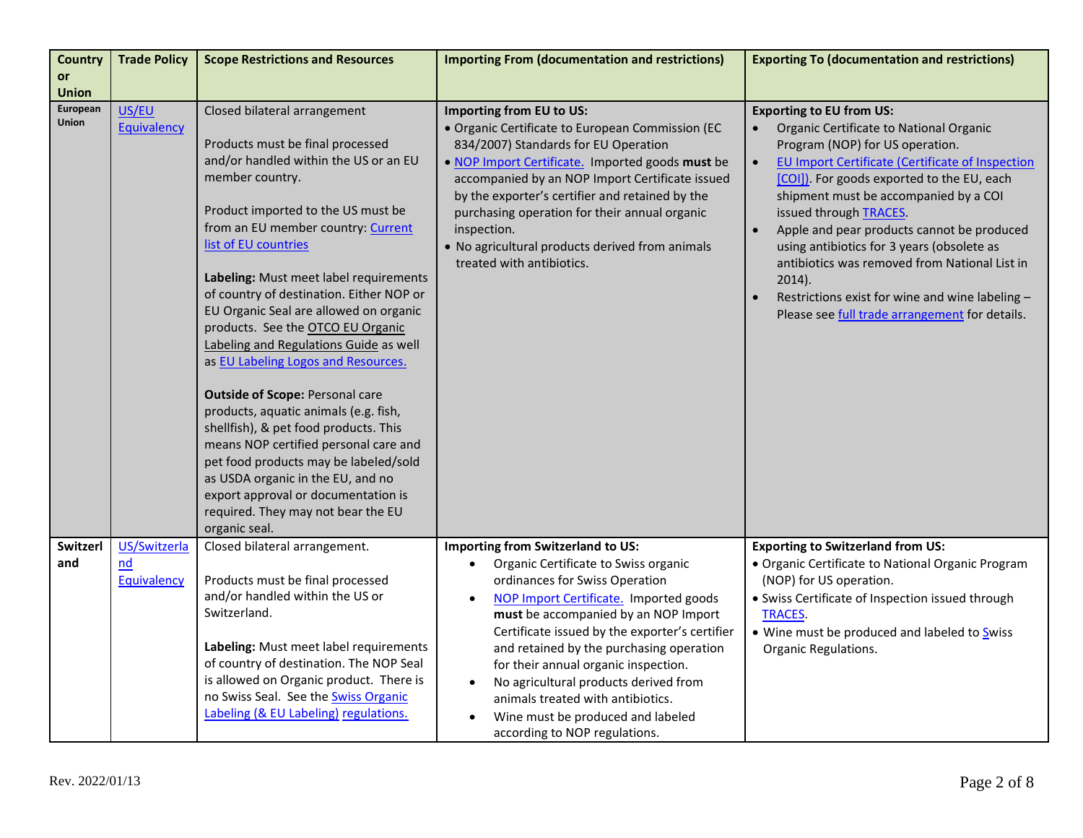| <b>Country</b> | <b>Trade Policy</b> | <b>Scope Restrictions and Resources</b>  | <b>Importing From (documentation and restrictions)</b> | <b>Exporting To (documentation and restrictions)</b>          |
|----------------|---------------------|------------------------------------------|--------------------------------------------------------|---------------------------------------------------------------|
| or             |                     |                                          |                                                        |                                                               |
| <b>Union</b>   |                     |                                          |                                                        |                                                               |
| European       | US/EU               | Closed bilateral arrangement             | Importing from EU to US:                               | <b>Exporting to EU from US:</b>                               |
| <b>Union</b>   | Equivalency         |                                          | · Organic Certificate to European Commission (EC       | Organic Certificate to National Organic                       |
|                |                     | Products must be final processed         | 834/2007) Standards for EU Operation                   | Program (NOP) for US operation.                               |
|                |                     | and/or handled within the US or an EU    | . NOP Import Certificate. Imported goods must be       | EU Import Certificate (Certificate of Inspection<br>$\bullet$ |
|                |                     | member country.                          | accompanied by an NOP Import Certificate issued        | [COI]). For goods exported to the EU, each                    |
|                |                     |                                          | by the exporter's certifier and retained by the        | shipment must be accompanied by a COI                         |
|                |                     | Product imported to the US must be       | purchasing operation for their annual organic          | issued through <b>TRACES</b> .                                |
|                |                     | from an EU member country: Current       | inspection.                                            | $\bullet$<br>Apple and pear products cannot be produced       |
|                |                     | list of EU countries                     | . No agricultural products derived from animals        | using antibiotics for 3 years (obsolete as                    |
|                |                     |                                          | treated with antibiotics.                              | antibiotics was removed from National List in                 |
|                |                     | Labeling: Must meet label requirements   |                                                        | 2014).                                                        |
|                |                     | of country of destination. Either NOP or |                                                        | Restrictions exist for wine and wine labeling -               |
|                |                     | EU Organic Seal are allowed on organic   |                                                        | Please see full trade arrangement for details.                |
|                |                     | products. See the OTCO EU Organic        |                                                        |                                                               |
|                |                     | Labeling and Regulations Guide as well   |                                                        |                                                               |
|                |                     | as EU Labeling Logos and Resources.      |                                                        |                                                               |
|                |                     | <b>Outside of Scope: Personal care</b>   |                                                        |                                                               |
|                |                     | products, aquatic animals (e.g. fish,    |                                                        |                                                               |
|                |                     | shellfish), & pet food products. This    |                                                        |                                                               |
|                |                     | means NOP certified personal care and    |                                                        |                                                               |
|                |                     | pet food products may be labeled/sold    |                                                        |                                                               |
|                |                     | as USDA organic in the EU, and no        |                                                        |                                                               |
|                |                     | export approval or documentation is      |                                                        |                                                               |
|                |                     | required. They may not bear the EU       |                                                        |                                                               |
|                |                     | organic seal.                            |                                                        |                                                               |
| Switzerl       | US/Switzerla        | Closed bilateral arrangement.            | Importing from Switzerland to US:                      | <b>Exporting to Switzerland from US:</b>                      |
| and            | nd                  |                                          | Organic Certificate to Swiss organic<br>$\bullet$      | • Organic Certificate to National Organic Program             |
|                | <b>Equivalency</b>  | Products must be final processed         | ordinances for Swiss Operation                         | (NOP) for US operation.                                       |
|                |                     | and/or handled within the US or          | NOP Import Certificate. Imported goods<br>$\bullet$    | • Swiss Certificate of Inspection issued through              |
|                |                     | Switzerland.                             | must be accompanied by an NOP Import                   | TRACES.                                                       |
|                |                     |                                          | Certificate issued by the exporter's certifier         | • Wine must be produced and labeled to Swiss                  |
|                |                     | Labeling: Must meet label requirements   | and retained by the purchasing operation               | Organic Regulations.                                          |
|                |                     | of country of destination. The NOP Seal  | for their annual organic inspection.                   |                                                               |
|                |                     | is allowed on Organic product. There is  | No agricultural products derived from<br>$\bullet$     |                                                               |
|                |                     | no Swiss Seal. See the Swiss Organic     | animals treated with antibiotics.                      |                                                               |
|                |                     | Labeling (& EU Labeling) regulations.    | Wine must be produced and labeled<br>$\bullet$         |                                                               |
|                |                     |                                          | according to NOP regulations.                          |                                                               |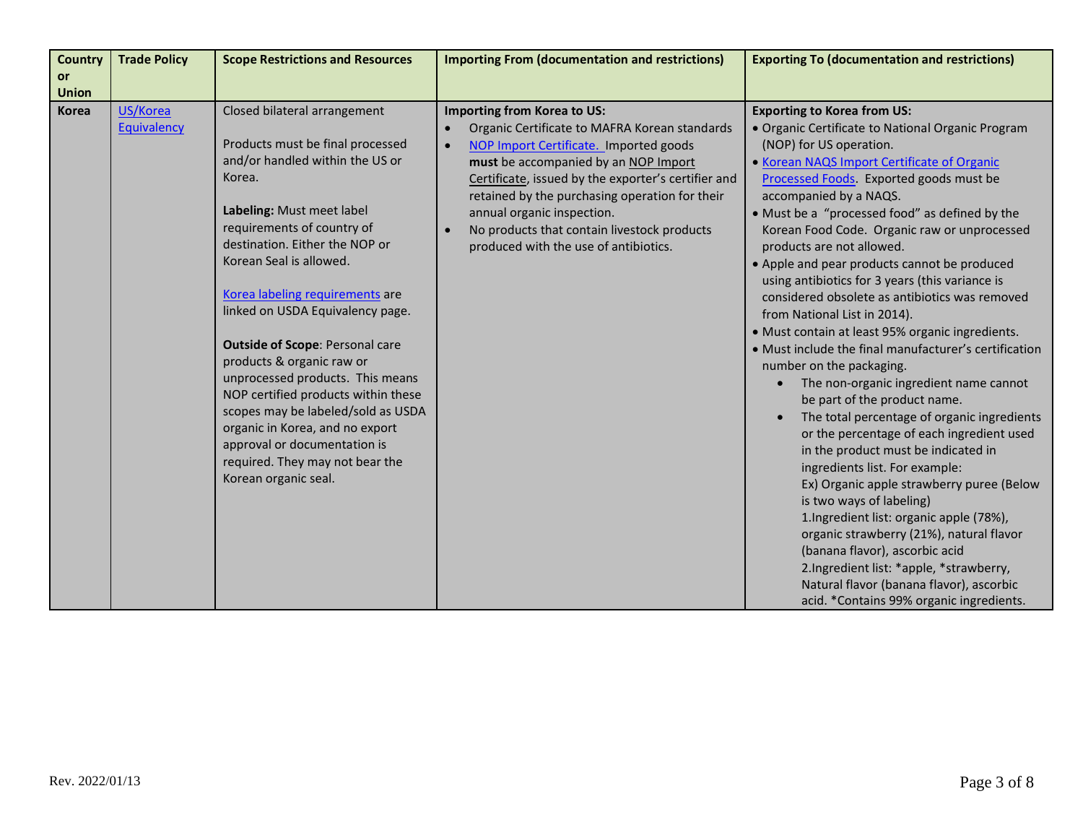| <b>Country</b> | <b>Trade Policy</b>            | <b>Scope Restrictions and Resources</b>                       | <b>Importing From (documentation and restrictions)</b>                                    | <b>Exporting To (documentation and restrictions)</b>                                    |
|----------------|--------------------------------|---------------------------------------------------------------|-------------------------------------------------------------------------------------------|-----------------------------------------------------------------------------------------|
| or             |                                |                                                               |                                                                                           |                                                                                         |
| <b>Union</b>   |                                |                                                               |                                                                                           |                                                                                         |
| <b>Korea</b>   | US/Korea<br><b>Equivalency</b> | Closed bilateral arrangement                                  | Importing from Korea to US:<br>Organic Certificate to MAFRA Korean standards<br>$\bullet$ | <b>Exporting to Korea from US:</b><br>· Organic Certificate to National Organic Program |
|                |                                | Products must be final processed                              | $\bullet$                                                                                 | (NOP) for US operation.                                                                 |
|                |                                | and/or handled within the US or                               | NOP Import Certificate. Imported goods<br>must be accompanied by an NOP Import            | • Korean NAQS Import Certificate of Organic                                             |
|                |                                | Korea.                                                        | Certificate, issued by the exporter's certifier and                                       | Processed Foods. Exported goods must be                                                 |
|                |                                |                                                               | retained by the purchasing operation for their                                            | accompanied by a NAQS.                                                                  |
|                |                                | Labeling: Must meet label                                     | annual organic inspection.                                                                | • Must be a "processed food" as defined by the                                          |
|                |                                | requirements of country of                                    | No products that contain livestock products<br>$\bullet$                                  | Korean Food Code. Organic raw or unprocessed                                            |
|                |                                | destination. Either the NOP or                                | produced with the use of antibiotics.                                                     | products are not allowed.                                                               |
|                |                                | Korean Seal is allowed.                                       |                                                                                           | • Apple and pear products cannot be produced                                            |
|                |                                |                                                               |                                                                                           | using antibiotics for 3 years (this variance is                                         |
|                |                                | Korea labeling requirements are                               |                                                                                           | considered obsolete as antibiotics was removed                                          |
|                |                                | linked on USDA Equivalency page.                              |                                                                                           | from National List in 2014).                                                            |
|                |                                |                                                               |                                                                                           | · Must contain at least 95% organic ingredients.                                        |
|                |                                | <b>Outside of Scope: Personal care</b>                        |                                                                                           | • Must include the final manufacturer's certification                                   |
|                |                                | products & organic raw or<br>unprocessed products. This means |                                                                                           | number on the packaging.                                                                |
|                |                                | NOP certified products within these                           |                                                                                           | The non-organic ingredient name cannot                                                  |
|                |                                | scopes may be labeled/sold as USDA                            |                                                                                           | be part of the product name.                                                            |
|                |                                | organic in Korea, and no export                               |                                                                                           | The total percentage of organic ingredients<br>$\bullet$                                |
|                |                                | approval or documentation is                                  |                                                                                           | or the percentage of each ingredient used                                               |
|                |                                | required. They may not bear the                               |                                                                                           | in the product must be indicated in<br>ingredients list. For example:                   |
|                |                                | Korean organic seal.                                          |                                                                                           | Ex) Organic apple strawberry puree (Below                                               |
|                |                                |                                                               |                                                                                           | is two ways of labeling)                                                                |
|                |                                |                                                               |                                                                                           | 1.Ingredient list: organic apple (78%),                                                 |
|                |                                |                                                               |                                                                                           | organic strawberry (21%), natural flavor                                                |
|                |                                |                                                               |                                                                                           | (banana flavor), ascorbic acid                                                          |
|                |                                |                                                               |                                                                                           | 2.Ingredient list: *apple, *strawberry,                                                 |
|                |                                |                                                               |                                                                                           | Natural flavor (banana flavor), ascorbic                                                |
|                |                                |                                                               |                                                                                           | acid. *Contains 99% organic ingredients.                                                |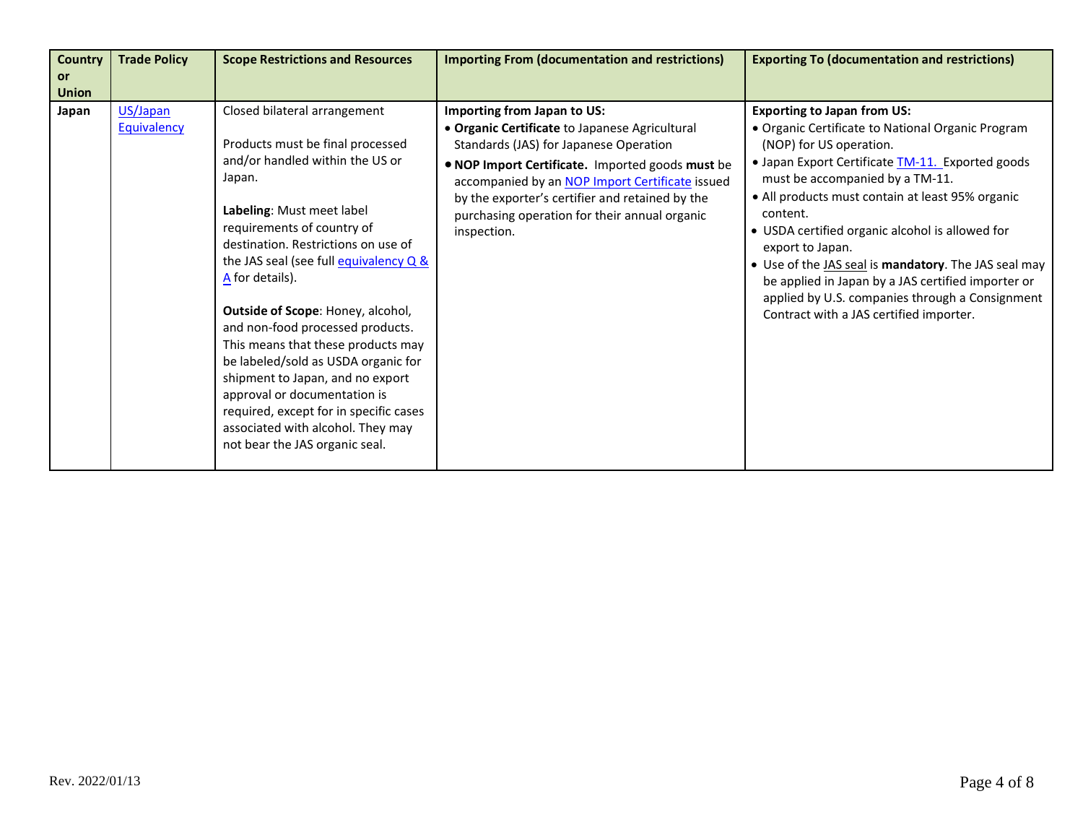| <b>Country</b>            | <b>Trade Policy</b>     | <b>Scope Restrictions and Resources</b>                                                                                                                                                                                                                                                                                                                                                                                                                                                                                                                                                                                 | <b>Importing From (documentation and restrictions)</b>                                                                                                                                                                                                                                                                                            | <b>Exporting To (documentation and restrictions)</b>                                                                                                                                                                                                                                                                                                                                                                                                                                                                                                                |
|---------------------------|-------------------------|-------------------------------------------------------------------------------------------------------------------------------------------------------------------------------------------------------------------------------------------------------------------------------------------------------------------------------------------------------------------------------------------------------------------------------------------------------------------------------------------------------------------------------------------------------------------------------------------------------------------------|---------------------------------------------------------------------------------------------------------------------------------------------------------------------------------------------------------------------------------------------------------------------------------------------------------------------------------------------------|---------------------------------------------------------------------------------------------------------------------------------------------------------------------------------------------------------------------------------------------------------------------------------------------------------------------------------------------------------------------------------------------------------------------------------------------------------------------------------------------------------------------------------------------------------------------|
| <b>or</b><br><b>Union</b> |                         |                                                                                                                                                                                                                                                                                                                                                                                                                                                                                                                                                                                                                         |                                                                                                                                                                                                                                                                                                                                                   |                                                                                                                                                                                                                                                                                                                                                                                                                                                                                                                                                                     |
| Japan                     | US/Japan<br>Equivalency | Closed bilateral arrangement<br>Products must be final processed<br>and/or handled within the US or<br>Japan.<br>Labeling: Must meet label<br>requirements of country of<br>destination. Restrictions on use of<br>the JAS seal (see full equivalency Q &<br>A for details).<br>Outside of Scope: Honey, alcohol,<br>and non-food processed products.<br>This means that these products may<br>be labeled/sold as USDA organic for<br>shipment to Japan, and no export<br>approval or documentation is<br>required, except for in specific cases<br>associated with alcohol. They may<br>not bear the JAS organic seal. | Importing from Japan to US:<br>• Organic Certificate to Japanese Agricultural<br>Standards (JAS) for Japanese Operation<br>. NOP Import Certificate. Imported goods must be<br>accompanied by an NOP Import Certificate issued<br>by the exporter's certifier and retained by the<br>purchasing operation for their annual organic<br>inspection. | <b>Exporting to Japan from US:</b><br>• Organic Certificate to National Organic Program<br>(NOP) for US operation.<br>• Japan Export Certificate <b>TM-11.</b> Exported goods<br>must be accompanied by a TM-11.<br>• All products must contain at least 95% organic<br>content.<br>• USDA certified organic alcohol is allowed for<br>export to Japan.<br>• Use of the JAS seal is mandatory. The JAS seal may<br>be applied in Japan by a JAS certified importer or<br>applied by U.S. companies through a Consignment<br>Contract with a JAS certified importer. |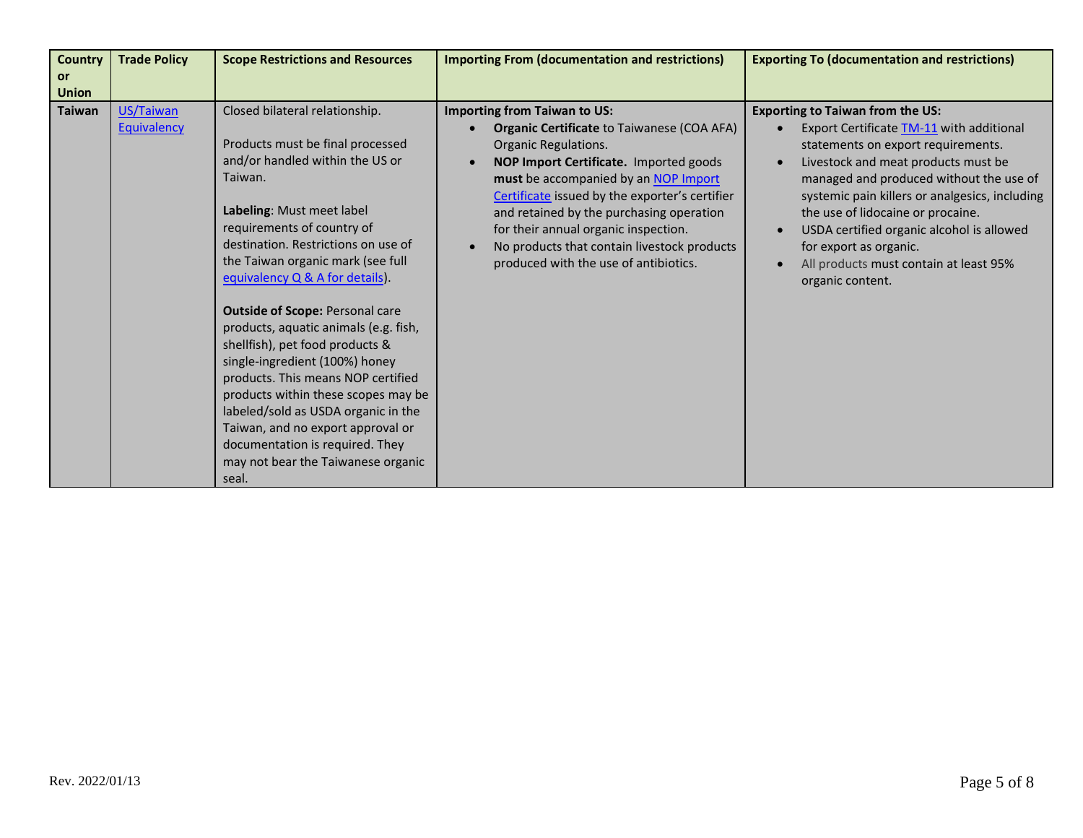| <b>Country</b>                | <b>Trade Policy</b>      | <b>Scope Restrictions and Resources</b>                                                                                                                                                                                                                                                                                                                                                                                                                                                                                                                                | <b>Importing From (documentation and restrictions)</b>                                                                                                                                                                                                                                                                                                                                                                           | <b>Exporting To (documentation and restrictions)</b>                                                                                                                                                                                                                                                                                                                                                                                                              |
|-------------------------------|--------------------------|------------------------------------------------------------------------------------------------------------------------------------------------------------------------------------------------------------------------------------------------------------------------------------------------------------------------------------------------------------------------------------------------------------------------------------------------------------------------------------------------------------------------------------------------------------------------|----------------------------------------------------------------------------------------------------------------------------------------------------------------------------------------------------------------------------------------------------------------------------------------------------------------------------------------------------------------------------------------------------------------------------------|-------------------------------------------------------------------------------------------------------------------------------------------------------------------------------------------------------------------------------------------------------------------------------------------------------------------------------------------------------------------------------------------------------------------------------------------------------------------|
| or                            |                          |                                                                                                                                                                                                                                                                                                                                                                                                                                                                                                                                                                        |                                                                                                                                                                                                                                                                                                                                                                                                                                  |                                                                                                                                                                                                                                                                                                                                                                                                                                                                   |
|                               |                          |                                                                                                                                                                                                                                                                                                                                                                                                                                                                                                                                                                        |                                                                                                                                                                                                                                                                                                                                                                                                                                  |                                                                                                                                                                                                                                                                                                                                                                                                                                                                   |
| <b>Union</b><br><b>Taiwan</b> | US/Taiwan<br>Equivalency | Closed bilateral relationship.<br>Products must be final processed<br>and/or handled within the US or<br>Taiwan.<br>Labeling: Must meet label<br>requirements of country of<br>destination. Restrictions on use of<br>the Taiwan organic mark (see full<br>equivalency Q & A for details).<br><b>Outside of Scope: Personal care</b><br>products, aquatic animals (e.g. fish,<br>shellfish), pet food products &<br>single-ingredient (100%) honey<br>products. This means NOP certified<br>products within these scopes may be<br>labeled/sold as USDA organic in the | <b>Importing from Taiwan to US:</b><br><b>Organic Certificate to Taiwanese (COA AFA)</b><br>Organic Regulations.<br>NOP Import Certificate. Imported goods<br>must be accompanied by an NOP Import<br>Certificate issued by the exporter's certifier<br>and retained by the purchasing operation<br>for their annual organic inspection.<br>No products that contain livestock products<br>produced with the use of antibiotics. | <b>Exporting to Taiwan from the US:</b><br>Export Certificate TM-11 with additional<br>statements on export requirements.<br>Livestock and meat products must be<br>$\bullet$<br>managed and produced without the use of<br>systemic pain killers or analgesics, including<br>the use of lidocaine or procaine.<br>USDA certified organic alcohol is allowed<br>for export as organic.<br>All products must contain at least 95%<br>$\bullet$<br>organic content. |
|                               |                          | Taiwan, and no export approval or<br>documentation is required. They<br>may not bear the Taiwanese organic<br>seal.                                                                                                                                                                                                                                                                                                                                                                                                                                                    |                                                                                                                                                                                                                                                                                                                                                                                                                                  |                                                                                                                                                                                                                                                                                                                                                                                                                                                                   |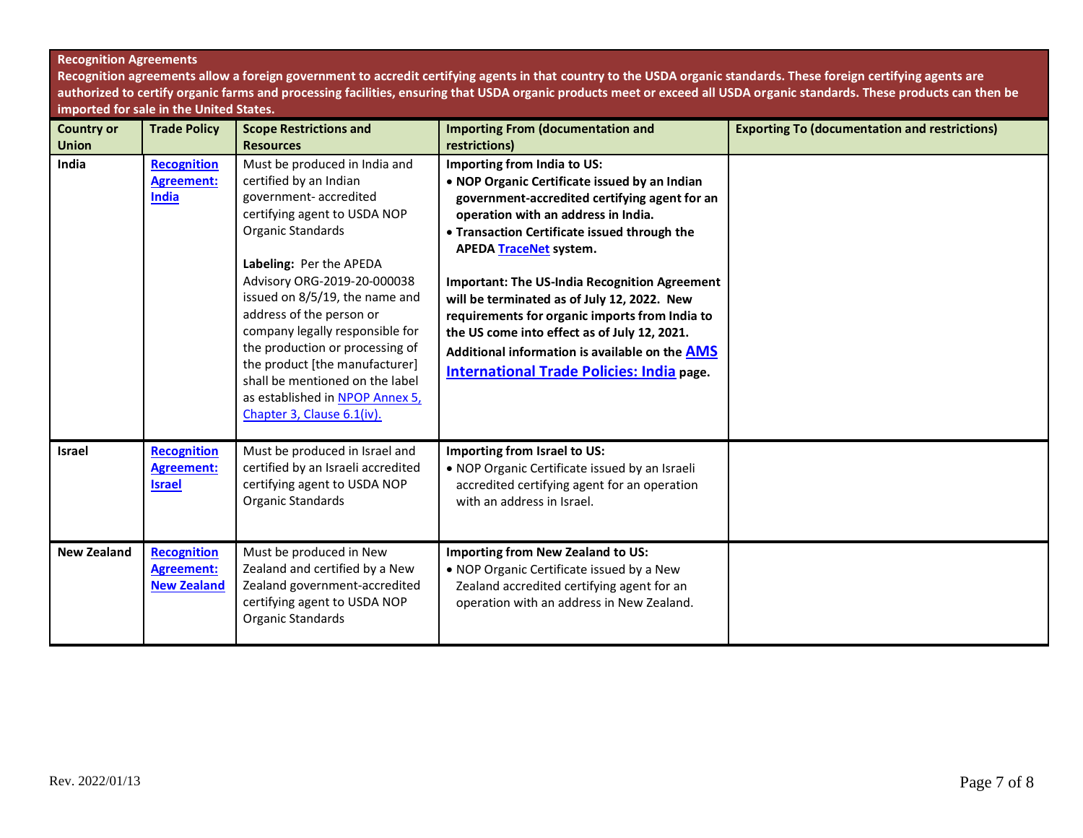## **Recognition Agreements**

**Recognition agreements allow a foreign government to accredit certifying agents in that country to the USDA organic standards. These foreign certifying agents are authorized to certify organic farms and processing facilities, ensuring that USDA organic products meet or exceed all USDA organic standards. These products can then be imported for sale in the United States.**

| <b>Country or</b><br><b>Union</b> | <b>Trade Policy</b>                                           | <b>Scope Restrictions and</b><br><b>Resources</b>                                                                                                                                                                                                                                                                                                                                                                                                                          | <b>Importing From (documentation and</b><br>restrictions)                                                                                                                                                                                                                                                                                                                                                                                                                                                                                                            | <b>Exporting To (documentation and restrictions)</b> |
|-----------------------------------|---------------------------------------------------------------|----------------------------------------------------------------------------------------------------------------------------------------------------------------------------------------------------------------------------------------------------------------------------------------------------------------------------------------------------------------------------------------------------------------------------------------------------------------------------|----------------------------------------------------------------------------------------------------------------------------------------------------------------------------------------------------------------------------------------------------------------------------------------------------------------------------------------------------------------------------------------------------------------------------------------------------------------------------------------------------------------------------------------------------------------------|------------------------------------------------------|
| India                             | <b>Recognition</b><br><b>Agreement:</b><br>India              | Must be produced in India and<br>certified by an Indian<br>government- accredited<br>certifying agent to USDA NOP<br>Organic Standards<br>Labeling: Per the APEDA<br>Advisory ORG-2019-20-000038<br>issued on 8/5/19, the name and<br>address of the person or<br>company legally responsible for<br>the production or processing of<br>the product [the manufacturer]<br>shall be mentioned on the label<br>as established in NPOP Annex 5,<br>Chapter 3, Clause 6.1(iv). | Importing from India to US:<br>. NOP Organic Certificate issued by an Indian<br>government-accredited certifying agent for an<br>operation with an address in India.<br>• Transaction Certificate issued through the<br><b>APEDA TraceNet system.</b><br><b>Important: The US-India Recognition Agreement</b><br>will be terminated as of July 12, 2022. New<br>requirements for organic imports from India to<br>the US come into effect as of July 12, 2021.<br>Additional information is available on the AMS<br><b>International Trade Policies: India page.</b> |                                                      |
| <b>Israel</b>                     | <b>Recognition</b><br><b>Agreement:</b><br><b>Israel</b>      | Must be produced in Israel and<br>certified by an Israeli accredited<br>certifying agent to USDA NOP<br>Organic Standards                                                                                                                                                                                                                                                                                                                                                  | Importing from Israel to US:<br>. NOP Organic Certificate issued by an Israeli<br>accredited certifying agent for an operation<br>with an address in Israel.                                                                                                                                                                                                                                                                                                                                                                                                         |                                                      |
| <b>New Zealand</b>                | <b>Recognition</b><br><b>Agreement:</b><br><b>New Zealand</b> | Must be produced in New<br>Zealand and certified by a New<br>Zealand government-accredited<br>certifying agent to USDA NOP<br>Organic Standards                                                                                                                                                                                                                                                                                                                            | Importing from New Zealand to US:<br>• NOP Organic Certificate issued by a New<br>Zealand accredited certifying agent for an<br>operation with an address in New Zealand.                                                                                                                                                                                                                                                                                                                                                                                            |                                                      |